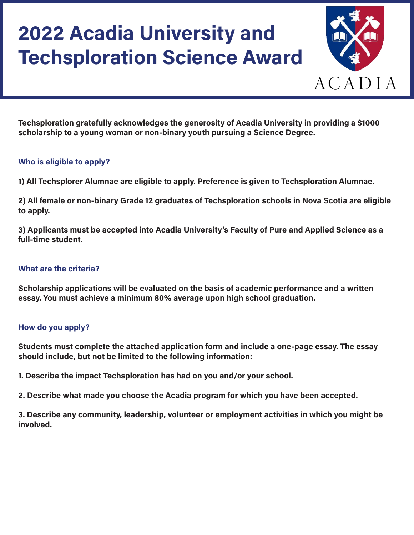

**Techsploration gratefully acknowledges the generosity of Acadia University in providing a \$1000 scholarship to a young woman or non-binary youth pursuing a Science Degree.**

### **Who is eligible to apply?**

**1) All Techsplorer Alumnae are eligible to apply. Preference is given to Techsploration Alumnae.**

**2) All female or non-binary Grade 12 graduates of Techsploration schools in Nova Scotia are eligible to apply.**

**3) Applicants must be accepted into Acadia University's Faculty of Pure and Applied Science as a full-time student.**

#### **What are the criteria?**

**Scholarship applications will be evaluated on the basis of academic performance and a written essay. You must achieve a minimum 80% average upon high school graduation.** 

## **How do you apply?**

**Students must complete the attached application form and include a one-page essay. The essay should include, but not be limited to the following information:** 

**1. Describe the impact Techsploration has had on you and/or your school.**

**2. Describe what made you choose the Acadia program for which you have been accepted.**

**3. Describe any community, leadership, volunteer or employment activities in which you might be involved.**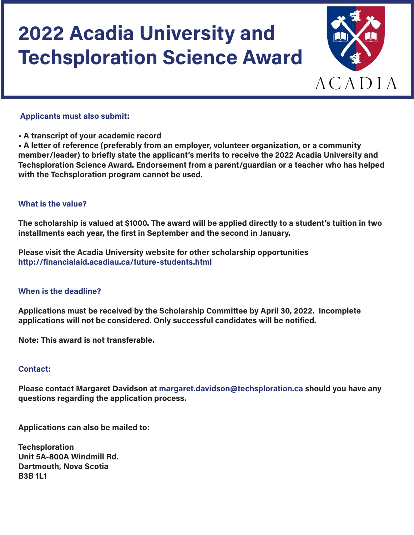

#### **Applicants must also submit:**

**• A transcript of your academic record** 

**• A letter of reference (preferably from an employer, volunteer organization, or a community member/leader) to briefly state the applicant's merits to receive the 2022 Acadia University and Techsploration Science Award. Endorsement from a parent/guardian or a teacher who has helped with the Techsploration program cannot be used.**

#### **What is the value?**

**The scholarship is valued at \$1000. The award will be applied directly to a student's tuition in two installments each year, the first in September and the second in January.** 

**Please visit the Acadia University website for other scholarship opportunities <http://financialaid.acadiau.ca/future-students.html>**

#### **When is the deadline?**

**Applications must be received by the Scholarship Committee by April 30, 2022. Incomplete applications will not be considered. Only successful candidates will be notified.** 

**Note: This award is not transferable.** 

#### **Contact:**

**Please contact Margaret Davidson at [margaret.davidson@techsploration.ca](mailto:margaret.davidson@techsploration.ca) should you have any questions regarding the application process.** 

**Applications can also be mailed to:** 

**Techsploration Unit 5A-800A Windmill Rd. Dartmouth, Nova Scotia B3B 1L1**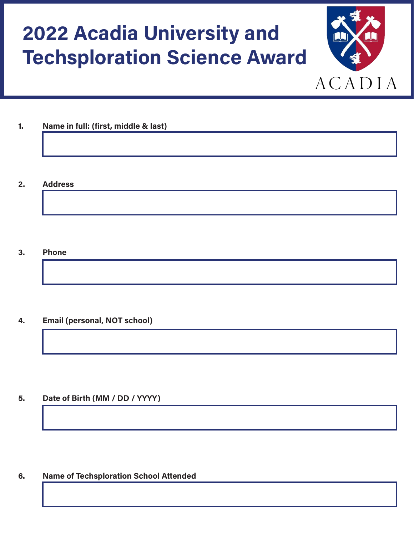

**1. Name in full: (first, middle & last)**

**2. Address**

**3. Phone**

**4. Email (personal, NOT school)**

**5. Date of Birth (MM / DD / YYYY)**

**6. Name of Techsploration School Attended**